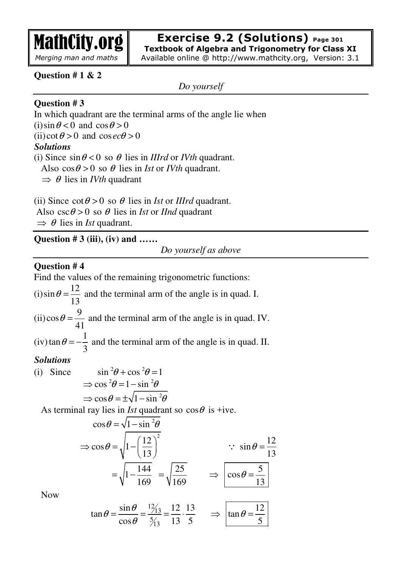

#### **Exercise 9.2 (Solutions) Page 301 Textbook of Algebra and Trigonometry for Class XI**

Available online @ http://www.mathcity.org, Version: 3.1

## **Question # 1 & 2**

*Do yourself* 

## **Question # 3**

In which quadrant are the terminal arms of the angle lie when (i)  $\sin \theta < 0$  and  $\cos \theta > 0$ (ii) cot  $\theta > 0$  and cosec $\theta > 0$ *Solutions* (i) Since  $\sin \theta < 0$  so  $\theta$  lies in *IIIrd* or *IVth* quadrant. Also  $\cos \theta > 0$  so  $\theta$  lies in *Ist* or *IVth* quadrant.

 $\Rightarrow$   $\theta$  lies in *IVth* quadrant

(ii) Since  $\cot \theta > 0$  so  $\theta$  lies in *Ist* or *IIIrd* quadrant. Also  $\csc \theta > 0$  so  $\theta$  lies in *Ist* or *IInd* quadrant  $\Rightarrow$   $\theta$  lies in *Ist* quadrant.

**Question # 3 (iii), (iv) and ……** 

*Do yourself as above* 

## **Question # 4**

Find the values of the remaining trigonometric functions: (i)  $\sin \theta = \frac{12}{12}$ 13  $\theta = \frac{12}{12}$  and the terminal arm of the angle is in quad. I. (ii)  $\cos \theta = \frac{9}{10}$ 41  $\theta = \frac{1}{\sqrt{2}}$  and the terminal arm of the angle is in quad. IV.  $(iv)$  tan  $\theta = -\frac{1}{2}$ 3  $\theta = -\frac{1}{2}$  and the terminal arm of the angle is in quad. II.

### *Solutions*

(i) Since 
$$
\sin^2 \theta + \cos^2 \theta = 1
$$
  
\n $\Rightarrow \cos^2 \theta = 1 - \sin^2 \theta$   
\n $\Rightarrow \cos \theta = \pm \sqrt{1 - \sin^2 \theta}$ 

As terminal ray lies in *Ist* quadrant so  $\cos\theta$  is +ive.

$$
\cos \theta = \sqrt{1 - \sin^2 \theta}
$$
  
\n
$$
\Rightarrow \cos \theta = \sqrt{1 - \left(\frac{12}{13}\right)^2}
$$
  
\n
$$
= \sqrt{1 - \frac{144}{169}} = \sqrt{\frac{25}{169}} \qquad \Rightarrow \qquad \cos \theta = \frac{5}{13}
$$

Now

$$
\tan \theta = \frac{\sin \theta}{\cos \theta} = \frac{12}{5/3} = \frac{12}{13} \cdot \frac{13}{5} \implies \tan \theta = \frac{12}{5}
$$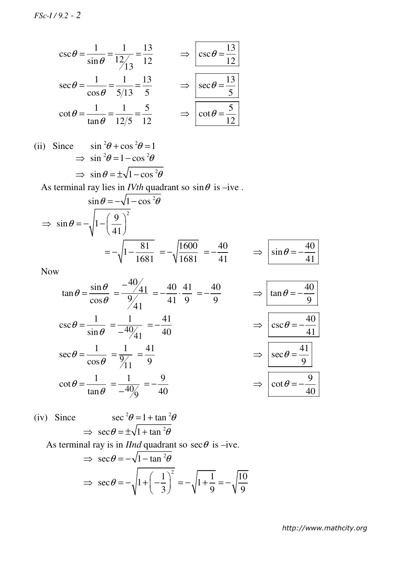$$
\csc \theta = \frac{1}{\sin \theta} = \frac{1}{12/3} = \frac{13}{12} \qquad \Rightarrow \qquad \csc \theta = \frac{13}{12}
$$

$$
\sec \theta = \frac{1}{\cos \theta} = \frac{1}{5/13} = \frac{13}{5} \qquad \Rightarrow \qquad \csc \theta = \frac{13}{5}
$$

$$
\cot \theta = \frac{1}{\tan \theta} = \frac{1}{12/5} = \frac{5}{12} \qquad \Rightarrow \qquad \cot \theta = \frac{5}{12}
$$

(ii) Since  $\sin^2\theta + \cos^2\theta = 1$  $\Rightarrow$   $\sin^2\theta = 1 - \cos^2\theta$  $\Rightarrow$   $\sin \theta = \pm \sqrt{1 - \cos^2 \theta}$ 

As terminal ray lies in *IVth* quadrant so  $\sin \theta$  is –ive.

$$
\sin \theta = -\sqrt{1 - \cos^2 \theta}
$$
  
\n
$$
\Rightarrow \sin \theta = -\sqrt{1 - \left(\frac{9}{41}\right)^2}
$$
  
\n
$$
= -\sqrt{1 - \frac{81}{1681}} = -\sqrt{\frac{1600}{1681}} = -\frac{40}{41} \Rightarrow \sin \theta = -\frac{40}{41}
$$

Now

$$
\tan \theta = \frac{\sin \theta}{\cos \theta} = \frac{-40}{9/41} = -\frac{40}{41} \cdot \frac{41}{9} = -\frac{40}{9} \implies \boxed{\tan \theta = -\frac{40}{9}}
$$
  
\n
$$
\csc \theta = \frac{1}{\sin \theta} = \frac{1}{-40/41} = -\frac{41}{40} \implies \boxed{\csc \theta = -\frac{40}{41}}
$$
  
\n
$$
\sec \theta = \frac{1}{\cos \theta} = \frac{1}{9/11} = \frac{41}{9}
$$
  
\n
$$
\cot \theta = \frac{1}{\tan \theta} = \frac{1}{-40/9} = -\frac{9}{40} \implies \boxed{\cot \theta = -\frac{9}{40}}
$$

(iv) Since 
$$
\sec^2\theta = 1 + \tan^2\theta
$$
  
\n $\Rightarrow \sec\theta = \pm\sqrt{1 + \tan^2\theta}$ 

As terminal ray is in *IInd* quadrant so  $\sec\theta$  is –ive.

$$
\Rightarrow \sec \theta = -\sqrt{1 - \tan^2 \theta}
$$

$$
\Rightarrow \sec \theta = -\sqrt{1 + \left(-\frac{1}{3}\right)^2} = -\sqrt{1 + \frac{1}{9}} = -\sqrt{\frac{10}{9}}
$$

*http://www.mathcity.org*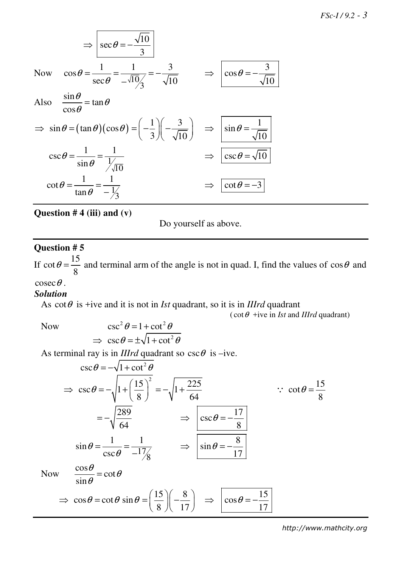$$
\Rightarrow \boxed{\sec \theta = -\frac{\sqrt{10}}{3}}
$$
  
\nNow  $\cos \theta = \frac{1}{\sec \theta} = \frac{1}{-\sqrt{10}/3} = -\frac{3}{\sqrt{10}}$   $\Rightarrow \boxed{\cos \theta = -\frac{3}{\sqrt{10}}}$   
\nAlso  $\frac{\sin \theta}{\cos \theta} = \tan \theta$   
\n $\Rightarrow \sin \theta = (\tan \theta)(\cos \theta) = \left(-\frac{1}{3}\right)\left(-\frac{3}{\sqrt{10}}\right) \Rightarrow \boxed{\sin \theta = \frac{1}{\sqrt{10}}}$   
\n $\csc \theta = \frac{1}{\sin \theta} = \frac{1}{\sqrt{10}}$   
\n $\cot \theta = \frac{1}{\tan \theta} = \frac{1}{-\frac{1}{3}}$   $\Rightarrow \boxed{\cot \theta = -3}$ 

**Question # 4 (iii) and (v)** 

Do yourself as above.

# **Question # 5**

If  $\cot \theta = \frac{15}{8}$ 8  $\theta = \frac{15}{3}$  and terminal arm of the angle is not in quad. I, find the values of cos $\theta$  and  $\csc \theta$ .

## *Solution*

As  $\cot \theta$  is +ive and it is not in *Ist* quadrant, so it is in *IIIrd* quadrant

 $(\cot \theta + i\vec{v})$  in *Ist* and *IIIrd* quadrant)

Now 
$$
\csc^2 \theta = 1 + \cot^2 \theta
$$

$$
\Rightarrow \csc \theta = \pm \sqrt{1 + \cot^2 \theta}
$$

As terminal ray is in *IIIrd* quadrant so  $\csc \theta$  is –ive.

$$
\csc \theta = -\sqrt{1 + \cot^2 \theta}
$$
  
\n
$$
\Rightarrow \csc \theta = -\sqrt{1 + \left(\frac{15}{8}\right)^2} = -\sqrt{1 + \frac{225}{64}} \qquad \therefore \cot \theta = \frac{15}{8}
$$
  
\n
$$
= -\sqrt{\frac{289}{64}} \qquad \Rightarrow \csc \theta = -\frac{17}{8}
$$
  
\n
$$
\sin \theta = \frac{1}{\csc \theta} = \frac{1}{-1\frac{7}{8}} \qquad \Rightarrow \sin \theta = -\frac{8}{17}
$$
  
\nNow  $\frac{\cos \theta}{\sin \theta} = \cot \theta$   
\n
$$
\Rightarrow \cos \theta = \cot \theta \sin \theta = \left(\frac{15}{8}\right)\left(-\frac{8}{17}\right) \qquad \Rightarrow \qquad \cos \theta = -\frac{15}{17}
$$

*http://www.mathcity.org*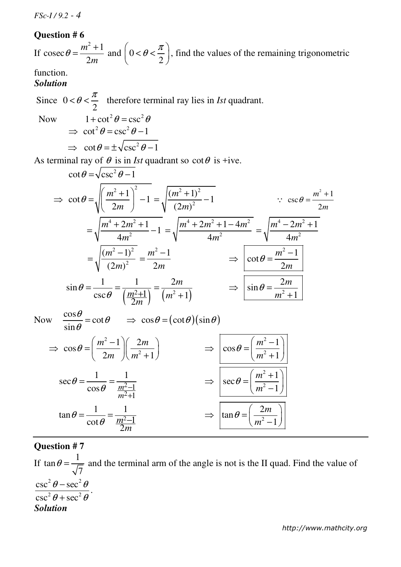*FSc-I / 9.2 - 4*

#### **Question # 6**

If  $^{2}+1$ cosec 2 *m m*  $\theta = \frac{m^2 + m^2}{2m}$  $=\frac{m+1}{2}$  and  $\mid 0$ 2  $\theta\!<\!\frac{\pi}{\tau}$  $\left(0 < \theta < \frac{\pi}{2}\right)$ , find the values of the remaining trigonometric

#### function. *Solution*

Since 0 2  $< \theta < \frac{\pi}{2}$  therefore terminal ray lies in *Ist* quadrant.

Now 
$$
1 + \cot^2 \theta = \csc^2 \theta
$$
  
\n $\Rightarrow \cot^2 \theta = \csc^2 \theta - 1$   
\n $\Rightarrow \cot \theta = \pm \sqrt{\csc^2 \theta - 1}$ 

2

*m*

As terminal ray of  $\theta$  is in *Ist* quadrant so  $\cot \theta$  is +ive.

$$
\cot \theta = \sqrt{\csc^2 \theta - 1}
$$
\n
$$
\Rightarrow \cot \theta = \sqrt{\left(\frac{m^2 + 1}{2m}\right)^2 - 1} = \sqrt{\frac{(m^2 + 1)^2}{(2m)^2} - 1} \qquad \because \csc \theta = \frac{m^2 + 1}{2m}
$$
\n
$$
= \sqrt{\frac{m^4 + 2m^2 + 1}{4m^2} - 1} = \sqrt{\frac{m^4 + 2m^2 + 1 - 4m^2}{4m^2}} = \sqrt{\frac{m^4 - 2m^2 + 1}{4m^2}}
$$
\n
$$
= \sqrt{\frac{(m^2 - 1)^2}{(2m)^2}} = \frac{m^2 - 1}{2m}
$$
\n
$$
\sin \theta = \frac{1}{\csc \theta} = \frac{1}{\left(\frac{m^2 + 1}{2m}\right)} = \frac{2m}{\left(m^2 + 1\right)} \qquad \Rightarrow \qquad \sin \theta = \frac{2m}{m^2 + 1}
$$
\nNow\n
$$
\frac{\cos \theta}{\sin \theta} = \cot \theta \qquad \Rightarrow \cos \theta = (\cot \theta)(\sin \theta)
$$
\n
$$
\Rightarrow \cos \theta = \left(\frac{m^2 - 1}{2m}\right)\left(\frac{2m}{m^2 + 1}\right) \qquad \Rightarrow \qquad \cos \theta = \left(\frac{m^2 - 1}{m^2 + 1}\right)
$$
\n
$$
\sec \theta = \frac{1}{\cos \theta} = \frac{1}{\frac{m^2 - 1}{m^2 + 1}}
$$
\n
$$
\tan \theta = \frac{1}{\cot \theta} = \frac{1}{\frac{m^2 - 1}{m^2 + 1}}
$$
\n
$$
\Rightarrow \qquad \tan \theta = \left(\frac{2m}{m^2 - 1}\right)
$$

#### **Question # 7**

If  $\tan \theta = \frac{1}{\sqrt{2}}$ 7  $\theta = \frac{1}{\sqrt{2}}$  and the terminal arm of the angle is not is the II quad. Find the value of  $\csc^2 \theta - \sec^2 \theta$  $\csc^2 \theta + \sec^2 \theta$ . *Solution*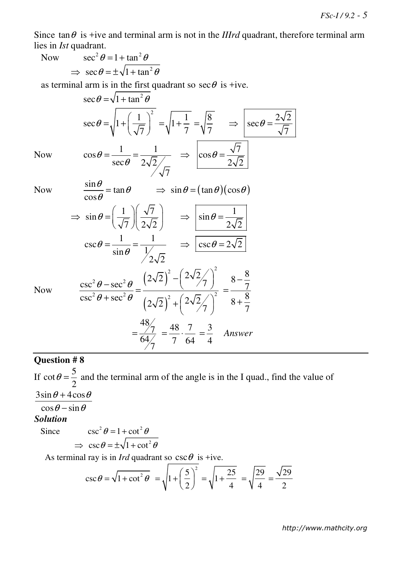Since  $\tan \theta$  is +ive and terminal arm is not in the *IIIrd* quadrant, therefore terminal arm lies in *Ist* quadrant.

Now  $\sec^2 \theta = 1 + \tan^2 \theta$ 

$$
\Rightarrow \sec \theta = \pm \sqrt{1 + \tan^2 \theta}
$$

as terminal arm is in the first quadrant so  $\sec\theta$  is +ive.

 $\sec \theta = \sqrt{1 + \tan^2 \theta}$  $1)^2$  $\sec \theta = \sqrt{1}$ 7  $\theta = \left|1 + \left(\frac{1}{\pi}\right)^2\right|$  $=\sqrt{1+\left(\frac{1}{\sqrt{7}}\right)}$ 1 1 7  $=\sqrt{1+}$ 8 7 =  $2\sqrt{2}$ sec 7  $\Rightarrow$  | sec  $\theta$  = Now  $\cos \theta = \frac{1}{\sqrt{2}} = \frac{1}{\sqrt{2}}$  $\sec \theta \quad 2\sqrt{2}$ 7 θ θ  $=\frac{1}{2}$  = 7 cos  $2\sqrt{2}$  $\Rightarrow$   $|\cos \theta =$ Now  $\frac{\sin \theta}{\theta} = \tan \theta$ θ  $\Rightarrow$   $\sin \theta = (\tan \theta)(\cos \theta)$ 

$$
\cos \theta = \tan \theta
$$
\n
$$
\Rightarrow \sin \theta = \left(\frac{1}{\sqrt{7}}\right) \left(\frac{\sqrt{7}}{2\sqrt{2}}\right) \Rightarrow \left[\sin \theta = \frac{1}{2\sqrt{2}}\right]
$$
\n
$$
\csc \theta = \frac{1}{\sin \theta} = \frac{1}{\frac{1}{2\sqrt{2}}} \Rightarrow \frac{\csc \theta = 2\sqrt{2}}{\csc \theta = 2\sqrt{2}}
$$
\n
$$
\csc^2 \theta = \sec^2 \theta \quad \left(2\sqrt{2}\right)^2 - \left(2\sqrt{2}\right)^2 \quad 8 - \frac{8}{7}
$$

 $\left( 2\sqrt{2}\right) ^{2}$ 

 $\frac{-\sec^2\theta}{\sec^2\theta} = \frac{(-\sqrt{2})}{\cos\theta} = \frac{(-\sqrt{2})}{\cos\theta}$ 

+  $\sec^2 \theta$   $(2\sqrt{2})^2 + (2\sqrt{2}/7)^2$ 

 $\frac{48}{7}$  =  $\frac{48}{7}$   $\frac{7}{7}$  =  $\frac{3}{7}$ 

 $=\frac{7}{64} = \frac{48}{2} \cdot \frac{7}{64} = \frac{3}{4}$  Answer

 $64 / 7$  7 64 4

 $^{2}\theta + \sec^{2}\theta$  (  $\pi^{2}$  (  $2\sqrt{2}$ )<sup>2</sup>

 $\csc^2\theta - \sec^2\theta$   $\left(2\sqrt{2}\right)$  ( /7

 $\csc^2\theta + \sec^2\theta$   $\left(2\sqrt{2}\right)^2 + \left(2\sqrt{2}\right)^2$ 

Now

# **Question # 8**

If  $\cot \theta = \frac{5}{2}$ 2  $\theta = \frac{3}{2}$  and the terminal arm of the angle is in the I quad., find the value of  $3\sin\theta + 4\cos\theta$  $\cos\theta - \sin\theta$ *Solution* Since  $\csc^2 \theta = 1 + \cot^2 \theta$ 

7 8

7

8

+

=

$$
\Rightarrow \csc \theta = \pm \sqrt{1 + \cot^2 \theta}
$$

 $^{2}$   $\Omega$   $^{2}$ 

 $\theta$  – sec<sup>2</sup> $\theta$  $\theta$  + sec<sup>2</sup> $\theta$ 

As terminal ray is in *Ird* quadrant so  $\csc \theta$  is +ive.

$$
\csc \theta = \sqrt{1 + \cot^2 \theta} = \sqrt{1 + \left(\frac{5}{2}\right)^2} = \sqrt{1 + \frac{25}{4}} = \sqrt{\frac{29}{4}} = \frac{\sqrt{29}}{2}
$$

*http://www.mathcity.org*